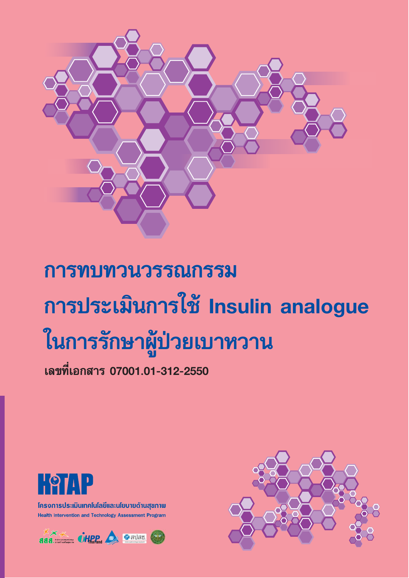

# การทบทวนวรรณกรรม การประเมินการใช้ Insulin analogue ในการรักษาผู้ป่วยเบาหวาน

เลขที่เอกสาร 07001.01-312-2550



โครงการประเมินเทคโนโลยีและนโยบายด้านสุขภาพ **Health Intervention and Technology Assessment Program** 



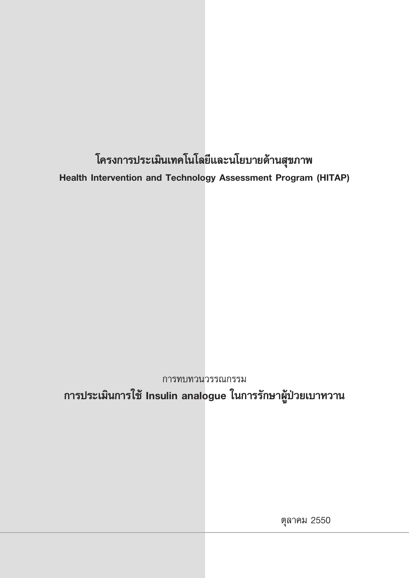โครงการประเมินเทคโนโลยีและนโยบายด้านสุขภาพ Health Intervention and Technology Assessment Program (HITAP)

การทบทวนวรรณกรรม การประเมินการใช้ Insulin analogue ในการรักษาผู้ป่วยเบาหวาน

ตุลาคม 2550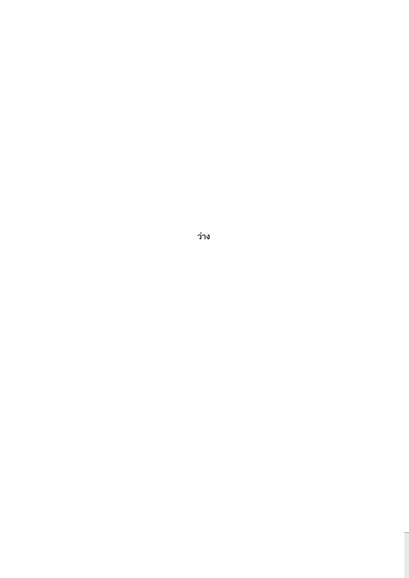ว่าง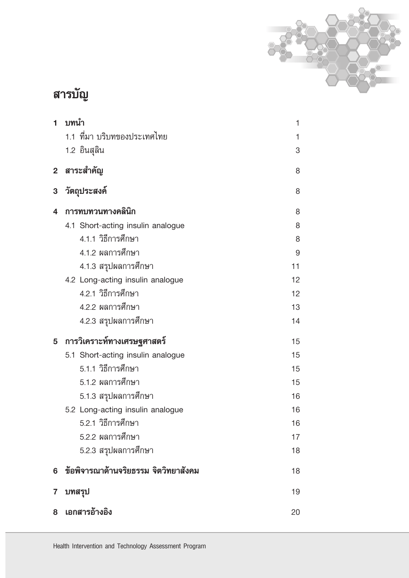

# สารบัญ

| 1            | บทนำ                                 | 1  |
|--------------|--------------------------------------|----|
|              | 1.1 ที่มา บริบทของประเทศไทย          | 1  |
|              | 1.2 อินสุลิน                         | 3  |
| $\mathbf{2}$ | สาระสำคัญ                            | 8  |
| 3            | วัตถุประสงค์                         | 8  |
| 4            | การทบทวนทางคลินิก                    | 8  |
|              | 4.1 Short-acting insulin analogue    | 8  |
|              | 4.1.1 วิธีการศึกษา                   | 8  |
|              | 4.1.2 ผลการศึกษา                     | 9  |
|              | 4.1.3 สรุปผลการศึกษา                 | 11 |
|              | 4.2 Long-acting insulin analogue     | 12 |
|              | 4.2.1 วิธีการศึกษา                   | 12 |
|              | 4.2.2 ผลการศึกษา                     | 13 |
|              | 4.2.3 สรุปผลการศึกษา                 | 14 |
| 5            | การวิเคราะห์ทางเศรษฐศาสตร์           | 15 |
|              | 5.1 Short-acting insulin analogue    | 15 |
|              | 5.1.1 วิธีการศึกษา                   | 15 |
|              | 5.1.2 ผลการศึกษา                     | 15 |
|              | 5.1.3 สรุปผลการศึกษา                 | 16 |
|              | 5.2 Long-acting insulin analogue     | 16 |
|              | 5.2.1 วิธีการศึกษา                   | 16 |
|              | 5.2.2 ผลการศึกษา                     | 17 |
|              | 5.2.3 สรุปผลการศึกษา                 | 18 |
| 6            | ข้อพิจารณาด้านจริยธรรม จิตวิทยาสังคม | 18 |
| 7            | บทสรุป                               | 19 |
| 8            | เอกสารอ้างอิง                        | 20 |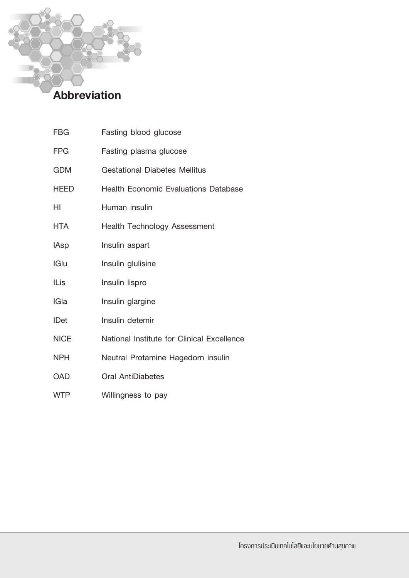# Abbreviation

**FBG** 

| FPG         | Fasting plasma glucose                      |
|-------------|---------------------------------------------|
| <b>GDM</b>  | <b>Gestational Diabetes Mellitus</b>        |
| HEED        | <b>Health Economic Evaluations Database</b> |
| HI          | Human insulin                               |
| HTA         | Health Technology Assessment                |
| <b>IAsp</b> | Insulin aspart                              |
| IGlu        | Insulin glulisine                           |
| ILis        | Insulin lispro                              |
| <b>IGla</b> | Insulin glargine                            |
| <b>IDet</b> | Insulin detemir                             |
| <b>NICE</b> | National Institute for Clinical Excellence  |
| <b>NPH</b>  | Neutral Protamine Hagedorn insulin          |
| OAD         | Oral AntiDiabetes                           |
| <b>WTP</b>  | Willingness to pay                          |

Fasting blood glucose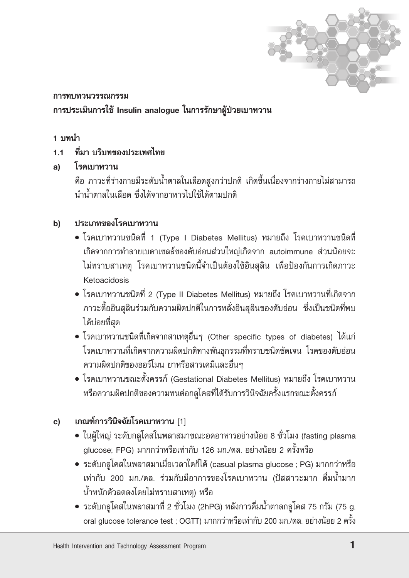

# การทบทวนวรรณกรรม การประเมินการใช้ Insulin analogue ในการรักษาผู้ป่วยเบาหวาน

# 1 บทนำ

#### ้ที่มา บริบทของประเทศไทย  $11<sub>1</sub>$

#### โรคเบาหวาน a)

คือ ภาวะที่ร่างกายมีระดับน้ำตาลในเลือดสูงกว่าปกติ เกิดขึ้นเนื่องจากร่างกายไม่สามารถ นำน้ำตาลในเลือด ซึ่งได้จากอาหารไปใช้ได้ตามปกติ

#### ประเภทของโรคเบาหวาน b)

- โรคเบาหวานชนิดที่ 1 (Type I Diabetes Mellitus) หมายถึง โรคเบาหวานชนิดที่ เกิดจากการทำลายเบตาเซลล์ของตับอ่อนส่วนใหญ่เกิดจาก autoimmune ส่วนน้อยจะ ไม่ทราบสาเหตุ โรคเบาหวานชนิดนี้จำเป็นต้องใช้อินสลิน เพื่อป้องกันการเกิดภาวะ Ketoacidosis
- โรคเบาหวานชนิดที่ 2 (Type II Diabetes Mellitus) หมายถึง โรคเบาหวานที่เกิดจาก ิภาวะดื้ออินสุลินร่วมกับความผิดปกติในการหลั่งอินสุลินของตับอ่อน ซึ่งเป็นชนิดที่พบ ได้บ่อยที่สุด
- โรคเบาหวานชนิดที่เกิดจากสาเหตุอื่นๆ (Other specific types of diabetes) ได้แก่ โรคเบาหวานที่เกิดจากความผิดปกติทางพันธุกรรมที่ทราบชนิดชัดเจน โรคของตับอ่อน ้ความผิดปกติของฮอร์โมน ยาหรือสารเคมีและอื่นๆ
- โรคเบาหวานขณะตั้งครรภ์ (Gestational Diabetes Mellitus) หมายถึง โรคเบาหวาน หรือความผิดปกติของความทนต่อกลูโคสที่ได้รับการวินิจฉัยครั้งแรกขณะตั้งครรภ์

#### เกณฑ์การวินิจฉัยโรคเบาหวาน [1] c)

- ในผู้ใหญ่ ระดับกลุโคสในพลาสมาขณะอดอาหารอย่างน้อย 8 ชั่วโมง (fasting plasma glucose: FPG) มากกว่าหรือเท่ากับ 126 มก./ดล. อย่างน้อย 2 ครั้งหรือ
- ระดับกลูโคสในพลาสมาเมื่อเวลาใดก็ได้ (casual plasma glucose ; PG) มากกว่าหรือ เท่ากับ 200 มก./ดล. ร่วมกับมีอาการของโรคเบาหวาน (ปัสสาวะมาก ดื่มน้ำมาก น้ำหนักตัวลดลงโดยไม่ทราบสาเหตุ) หรือ
- ระดับกลูโคสในพลาสมาที่ 2 ชั่วโมง (2hPG) หลังการดื่มน้ำตาลกลูโคส 75 กรัม (75 g. oral glucose tolerance test ; OGTT) มากกว่าหรือเท่ากับ 200 มก./ดล. อย่างน้อย 2 ครั้ง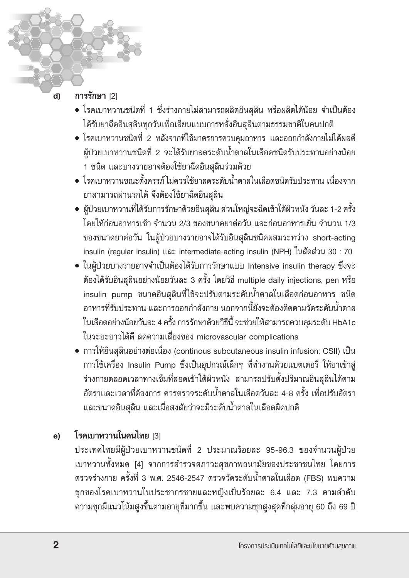#### d) การรักษา [2]

- โรคเบาหวานชนิดที่ 1 ซึ่งร่างกายไม่สามารถผลิตอินสุลิน หรือผลิตได้น้อย จำเป็นต้อง ได้รับยาฉีดอินสุลินทุกวันเพื่อเลียนแบบการหลั่งอินสุลินตามธรรมชาติในคนปกติ
- โรคเบาหวานชนิดที่ 2 หลังจากที่ใช้มาตรการควบคุมอาหาร และออกกำลังกายไม่ได้ผลดี ผู้ป่วยเบาหวานชนิดที่ 2 จะได้รับยาลดระดับน้ำตาลในเลือดชนิดรับประทานอย่างน้อย 1 ชนิด และบางรายอาจต้องใช้ยาฉีดอินสุลินร่วมด้วย
- โรคเบาหวานขณะตั้งครรภ์ไม่ควรใช้ยาลดระดับน้ำตาลในเลือดชนิดรับประทาน เนื่องจาก ยาสามารถผ่านรกได้ จึงต้องใช้ยาฉีดอินสลิน
- ผู้ป่วยเบาหวานที่ได้รับการรักษาด้วยอินสุลิน ส่วนใหญ่จะฉีดเข้าใต้ผิวหนัง วันละ 1-2 ครั้ง โดยให้ก่อนอาหารเช้า จำนวน 2/3 ของขนาดยาต่อวัน และก่อนอาหารเย็น จำนวน 1/3 ของขนาดยาต่อวัน ในผู้ป่วยบางรายอาจได้รับอินสุลินชนิดผสมระหว่าง short-acting insulin (regular insulin) และ intermediate-acting insulin (NPH) ในสัดส่วน 30:70
- ในผู้ป่วยบางรายอาจจำเป็นต้องได้รับการรักษาแบบ Intensive insulin therapy ซึ่งจะ ต้องได้รับอินสุลินอย่างน้อยวันละ 3 ครั้ง โดยวิธี multiple daily injections, pen หรือ insulin pump ขนาดอินสุลินที่ใช้จะปรับตามระดับน้ำตาลในเลือดก่อนอาหาร ชนิด ้อาหารที่รับประทาน และการออกกำลังกาย นอกจากนี้ยังจะต้องติดตามวัดระดับน้ำตาล ในเลือดอย่างน้อยวันละ 4 ครั้ง การรักษาด้วยวิธีนี้ จะช่วยให้สามารถควบคุมระดับ HbA1c ในระยะยาวได้ดี ลดความเสี่ยงของ microvascular complications
- การให้อินสุลินอย่างต่อเนื่อง (continous subcutaneous insulin infusion; CSII) เป็น การใช้เครื่อง Insulin Pump ซึ่งเป็นอุปกรณ์เล็กๆ ที่ทำงานด้วยแบตเตอรี่ ให้ยาเข้าสู่ ร่างกายตลอดเวลาทางเข็มที่สอดเข้าใต้ผิวหนัง สามารถปรับตั้งปริมาณอินสุลินได้ตาม อัตราและเวลาที่ต้องการ ควรตรวจระดับน้ำตาลในเลือดวันละ 4-8 ครั้ง เพื่อปรับอัตรา ี และขนาดอินสุลิน และเมื่อสงสัยว่าจะมีระดับน้ำตาลในเลือดผิดปกติ

#### โรคเบาหวานในคนไทย [3]  $e)$

ประเทศไทยมีผู้ป่วยเบาหวานชนิดที่ 2 ประมาณร้อยละ 95-96.3 ของจำนวนผู้ป่วย เบาหวานทั้งหมด [4] จากการสำรวจสภาวะสุขภาพอนามัยของประชาชนไทย โดยการ ตรวจร่างกาย ครั้งที่ 3 พ.ศ. 2546-2547 ตรวจวัดระดับน้ำตาลในเลือด (FBS) พบความ ชุกของโรคเบาหวานในประชากรชายและหญิงเป็นร้อยละ 6.4 และ 7.3 ตามลำดับ ความชุกมีแนวโน้มสูงขึ้นตามอายุที่มากขึ้น และพบความชุกสูงสุดที่กลุ่มอายุ 60 ถึง 69 ปี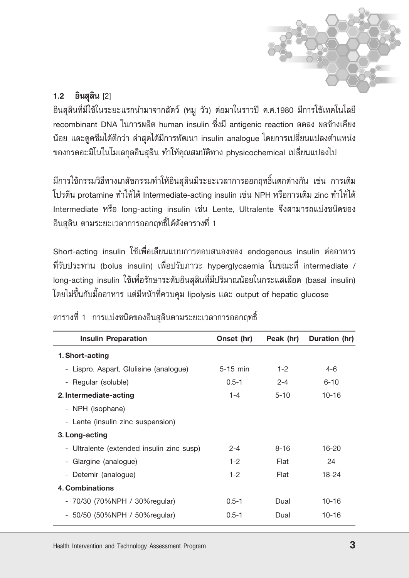

#### $1.2$ อินสุลิน [2]

อินสุลินที่มีใช้ในระยะแรกนำมาจากสัตว์ (หมู วัว) ต่อมาในราวปี ค.ศ.1980 มีการใช้เทคโนโลยี recombinant DNA ในการผลิต human insulin ซึ่งมี antigenic reaction ลดลง ผลข้างเคียง น้อย และดูดซึมได้ดีกว่า ล่าสุดได้มีการพัฒนา insulin analogue โดยการเปลี่ยนแปลงตำแหน่ง ของกรดอะมิโนในโมเลกุลอินสุลิน ทำให้คุณสมบัติทาง physicochemical เปลี่ยนแปลงไป

มีการใช้กรรมวิธีทางเภสัชกรรมทำให้อินสุลินมีระยะเวลาการออกฤทธิ์แตกต่างกัน เช่น การเติม โปรตีน protamine ทำให้ได้ Intermediate-acting insulin เช่น NPH หรือการเติม zinc ทำให้ได้ Intermediate หรือ long-acting insulin เช่น Lente, Ultralente จึงสามารถแบ่งชนิดของ อินสุลิน ตามระยะเวลาการออกฤทธิ์ได้ดังตารางที่ 1

Short-acting insulin ใช้เพื่อเลียนแบบการตอบสนองของ endogenous insulin ต่ออาหาร ที่รับประทาน (bolus insulin) เพื่อปรับภาวะ hyperglycaemia ในขณะที่ intermediate / long-acting insulin ใช้เพื่อรักษาระดับอินสุลินที่มีปริมาณน้อยในกระแสเลือด (basal insulin) โดยไม่ขึ้นกับมื้ออาหาร แต่มีหน้าที่ควบคุม lipolysis และ output of hepatic glucose

| <b>Insulin Preparation</b>                | Onset (hr) | Peak (hr) | Duration (hr) |
|-------------------------------------------|------------|-----------|---------------|
| 1. Short-acting                           |            |           |               |
| - Lispro, Aspart, Glulisine (analogue)    | $5-15$ min | $1 - 2$   | $4-6$         |
| - Regular (soluble)                       | $0.5 - 1$  | $2 - 4$   | $6 - 10$      |
| 2. Intermediate-acting                    | 1-4        | $5 - 10$  | $10 - 16$     |
| - NPH (isophane)                          |            |           |               |
| - Lente (insulin zinc suspension)         |            |           |               |
| 3. Long-acting                            |            |           |               |
| - Ultralente (extended insulin zinc susp) | $2 - 4$    | $8 - 16$  | $16 - 20$     |
| Glargine (analogue)                       | $1 - 2$    | Flat      | 24            |
| - Detemir (analogue)                      | $1 - 2$    | Flat      | 18-24         |
| 4. Combinations                           |            |           |               |
| - 70/30 (70%NPH / 30%regular)             | $0.5 - 1$  | Dual      | $10 - 16$     |
| 50/50 (50%NPH / 50%regular)               | $0.5 - 1$  | Dual      | $10 - 16$     |

ตารางที่ 1 การแบ่งชนิดของอินสุลินตามระยะเวลาการออกฤทธิ์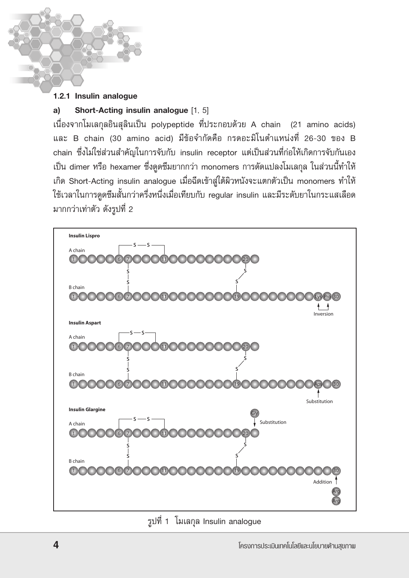### 1.2.1 Insulin analogue

#### Short-Acting insulin analogue [1, 5]  $a)$

เนื่องจากโมเลกุลอินสุลินเป็น polypeptide ที่ประกอบด้วย A chain (21 amino acids) และ B chain (30 amino acid) มีข้อจำกัดคือ กรดอะมิโนตำแหน่งที่ 26-30 ของ B chain ซึ่งไม่ใช่ส่วนสำคัญในการจับกับ insulin receptor แต่เป็นส่วนที่ก่อให้เกิดการจับกันเอง เป็น dimer หรือ hexamer ซึ่งดุดซึมยากกว่า monomers การดัดแปลงโมเลกุล ในส่วนนี้ทำให้ เกิด Short-Acting insulin analogue เมื่อฉีดเข้าสู่ใต้ผิวหนังจะแตกตัวเป็น monomers ทำให้ ใช้เวลาในการดูดซึมสั้นกว่าครึ่งหนึ่งเมื่อเทียบกับ regular insulin และมีระดับยาในกระแสเลือด มากกว่าเท่าตัว ดังรูปที่ 2



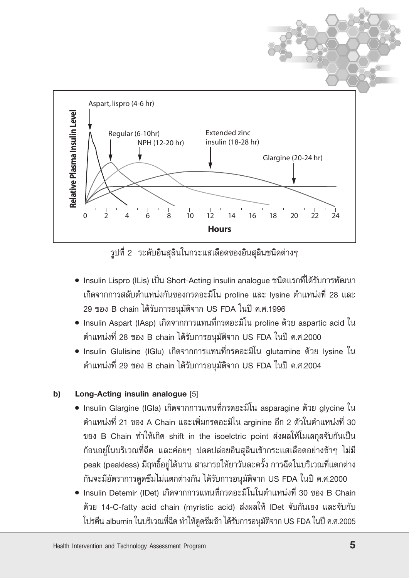

รูปที่ 2 ระดับอินสุลินในกระแสเลือดของอินสุลินชนิดต่างๆ

- Insulin Lispro (ILis) เป็น Short-Acting insulin analogue ชนิดแรกที่ได้รับการพัฒนา เกิดจากการสลับตำแหน่งกันของกรดอะมิโน proline และ Iysine ตำแหน่งที่ 28 และ 29 ของ B chain ได้รับการอนุมัติจาก US FDA ในปี ค.ศ.1996
- Insulin Aspart (IAsp) เกิดจากการแทนที่กรดอะมิโน proline ด้วย aspartic acid ใน ตำแหน่งที่ 28 ของ B chain ได้รับการอนุมัติจาก US FDA ในปี ค.ศ.2000
- Insulin Glulisine (IGlu) เกิดจากการแทนที่กรดอะมิโน glutamine ด้วย Iysine ใน ตำแหน่งที่ 29 ของ B chain ได้รับการอนุมัติจาก US FDA ในปี ค.ศ.2004

#### b) Long-Acting insulin analogue [5]

- Insulin Glargine (IGIa) เกิดจากการแทนที่กรดอะมิโน asparagine ด้วย glvcine ใน ตำแหน่งที่ 21 ของ A Chain และเพิ่มกรดอะมิโน arginine อีก 2 ตัวในตำแหน่งที่ 30 ของ B Chain ทำให้เกิด shift in the isoelctric point ส่งผลให้โมเลกุลจับกันเป็น ี ก้อนอยู่ในบริเวณที่ฉีด และค่อยๆ ปลดปล่อยอินสุลินเข้ากระแสเลือดอย่างช้าๆ ไม่มี peak (peakless) มีฤทธิ์อยู่ได้นาน สามารถให้ยาวันละครั้ง การฉีดในบริเวณที่แตกต่าง กันจะมีอัตราการดูดซึมไม่แตกต่างกัน ได้รับการอนุมัติจาก US FDA ในปี ค.ศ.2000
- Insulin Detemir (IDet) เกิดจากการแทนที่กรดอะมิโนในตำแหน่งที่ 30 ของ B Chain ด้วย 14-C-fatty acid chain (myristic acid) ส่งผลให้ IDet จับกันเอง และจับกับ โปรตีน albumin ในบริเวณที่ฉีด ทำให้ดูดซึมช้า ได้รับการอนุมัติจาก US FDA ในปี ค.ศ.2005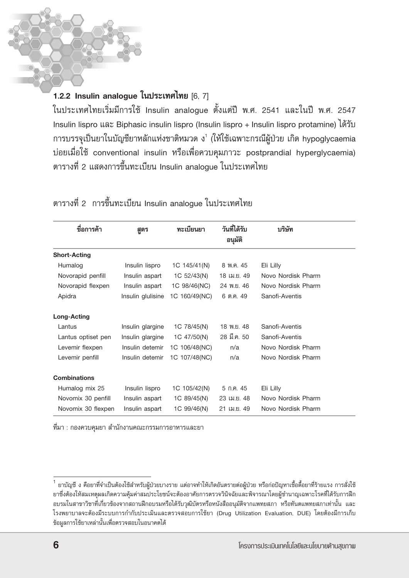# 1.2.2 Insulin analogue ในประเทศไทย [6, 7]

์ในประเทศไทยเริ่มมีการใช้ Insulin analogue ตั้งแต่ปี พ.ศ. 2541 และในปี พ.ศ. 2547 Insulin lispro และ Biphasic insulin lispro (Insulin lispro + Insulin lispro protamine) ได้รับ การบรรจุเป็นยาในบัญชียาหลักแห่งชาติหมวด ง $^{\rm t}$  (ให้ใช้เฉพาะกรณีผู้ป่วย เกิด hypoglycaemia บ่อยเมื่อใช้ conventional insulin หรือเพื่อควบคุมภาวะ postprandial hyperglycaemia) ตารางที่ 2 แสดงการขึ้นทะเบียน Insulin analoque ในประเทศไทย

| ชื่อการค้า          | สูตร              | ทะเบียนยา     | วันที่ได้รับ<br>อนมัติ | บริษัท             |
|---------------------|-------------------|---------------|------------------------|--------------------|
| <b>Short-Acting</b> |                   |               |                        |                    |
| Humalog             | Insulin lispro    | 1C 145/41(N)  | 8 พ.ค. 45              | Eli Lilly          |
| Novorapid penfill   | Insulin aspart    | 1C 52/43(N)   | 18 เม.ย. 49            | Novo Nordisk Pharm |
| Novorapid flexpen   | Insulin aspart    | 1C 98/46(NC)  | 24 W. <sub>B.</sub> 46 | Novo Nordisk Pharm |
| Apidra              | Insulin glulisine | 1C 160/49(NC) | 6 ต.ค. 49              | Sanofi-Aventis     |
| Long-Acting         |                   |               |                        |                    |
| Lantus              | Insulin glargine  | 1C 78/45(N)   | 18 พ.ย. 48             | Sanofi-Aventis     |
| Lantus optiset pen  | Insulin glargine  | 1C 47/50(N)   | 28 มี.ค. 50            | Sanofi-Aventis     |
| Levemir flexpen     | Insulin detemir   | 1C 106/48(NC) | n/a                    | Novo Nordisk Pharm |
| Levemir penfill     | Insulin detemir   | 1C 107/48(NC) | n/a                    | Novo Nordisk Pharm |
| <b>Combinations</b> |                   |               |                        |                    |
| Humalog mix 25      | Insulin lispro    | 1C 105/42(N)  | 5 ก.ค. 45              | Eli Lilly          |
| Novomix 30 penfill  | Insulin aspart    | 1C 89/45(N)   | 23 เม.ย. 48            | Novo Nordisk Pharm |
| Novomix 30 flexpen  | Insulin aspart    | 1C 99/46(N)   | 21 เม.ย. 49            | Novo Nordisk Pharm |

ตารางที่ 2 การขึ้นทะเบียน Insulin analogue ในประเทศไทย

ที่มา : กองควบคุมยา สำนักงานคณะกรรมการอาหารและยา

ยาบัญชี ง คือยาที่จำเป็นต้องใช้สำหรับผู้ป่วยบางราย แต่อาจทำให้เกิดอันตรายต่อผู้ป่วย หรือก่อปัญหาเชื้อดื้อยาที่ร้ายแรง การสั่งใช้ ยาซึ่งต้องให้สมเหตุผลเกิดความคุ้มค่าสมประโยชน์จะต้องอาศัยการตรวจวินิจฉัยและพิจารณาโดยผู้ชำนาญเฉพาะโรคที่ได้รับการฝึก อบรมในสาขาวิชาที่เกี่ยวข้องจากสถานฝึกอบรมหรือได้รับวุฒิบัตรหรือหนังสืออนุมัติจากแพทยสภา หรือทันตแพทยสภาเท่านั้น และ โรงพยาบาลจะต้องมีระบบการกำกับประเมินและตรวจสอบการใช้ยา (Drug Utilization Evaluation, DUE) โดยต้องมีการเก็บ ข้อมูลการใช้ยาเหล่านั้นเพื่อตรวจสอบในอนาคตได้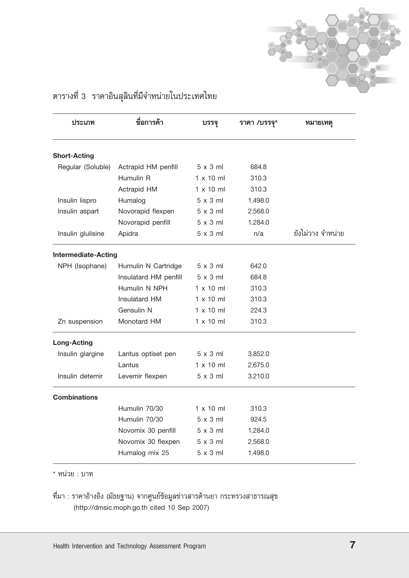

| ประเภท                     | ชื่อการค้า            | บรรจุ            | ราคา /บรรจุ* | ทมายเทตุ          |
|----------------------------|-----------------------|------------------|--------------|-------------------|
| <b>Short-Acting</b>        |                       |                  |              |                   |
| Regular (Soluble)          | Actrapid HM penfill   | $5 \times 3$ ml  | 684.8        |                   |
|                            | Humulin R             | $1 \times 10$ ml | 310.3        |                   |
|                            | Actrapid HM           | $1 \times 10$ ml | 310.3        |                   |
| Insulin lispro             | Humalog               | $5 \times 3$ ml  | 1,498.0      |                   |
| Insulin aspart             | Novorapid flexpen     | $5 \times 3$ ml  | 2,568.0      |                   |
|                            | Novorapid penfill     | $5 \times 3$ ml  | 1,284.0      |                   |
| Insulin glulisine          | Apidra                | $5 \times 3$ ml  | n/a          | ยังไม่วาง จำหน่าย |
| <b>Intermediate-Acting</b> |                       |                  |              |                   |
| NPH (Isophane)             | Humulin N Cartridge   | $5 \times 3$ ml  | 642.0        |                   |
|                            | Insulatard HM penfill | $5 \times 3$ ml  | 684.8        |                   |
|                            | Humulin N NPH         | $1 \times 10$ ml | 310.3        |                   |
|                            | Insulatard HM         | $1 \times 10$ ml | 310.3        |                   |
|                            | Gensulin N            | $1 \times 10$ ml | 224.3        |                   |
| Zn suspension              | Monotard HM           | $1 \times 10$ ml | 310.3        |                   |
| <b>Long-Acting</b>         |                       |                  |              |                   |
| Insulin glargine           | Lantus optiset pen    | $5 \times 3$ ml  | 3,852.0      |                   |
|                            | Lantus                | $1 \times 10$ ml | 2.675.0      |                   |
| Insulin detemir            | Levemir flexpen       | $5 \times 3$ ml  | 3,210.0      |                   |
| <b>Combinations</b>        |                       |                  |              |                   |
|                            | Humulin 70/30         | $1 \times 10$ ml | 310.3        |                   |
|                            | Humulin 70/30         | $5 \times 3$ ml  | 924.5        |                   |
|                            | Novomix 30 penfill    | $5 \times 3$ ml  | 1,284.0      |                   |
|                            | Novomix 30 flexpen    | $5 \times 3$ ml  | 2,568.0      |                   |
|                            | Humalog mix 25        | $5 \times 3$ ml  | 1,498.0      |                   |
|                            |                       |                  |              |                   |

# ตารางที่ 3 ราคาอินสุลินที่มีจำหน่ายในประเทศไทย

\* หน่วย : บาท

ู่ที่มา : ราคาอ้างอิง (มัธยฐาน) จากศูนย์ข้อมูลข่าวสารด้านยา กระทรวงสาธารณสุข (http://dmsic.moph.go.th cited 10 Sep 2007)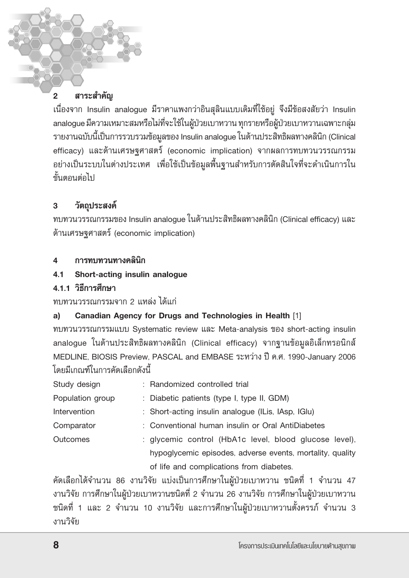#### สาระสำคัญ  $\overline{2}$

เนื่องจาก Insulin analogue มีราคาแพงกว่าอินสุลินแบบเดิมที่ใช้อยู่ จึงมีข้อสงสัยว่า Insulin analogue มีความเหมาะสมหรือไม่ที่จะใช้ในผู้ป่วยเบาหวาน ทุกรายหรือผู้ป่วยเบาหวานเฉพาะกลุ่ม รายงานฉบับนี้เป็นการรวบรวมข้อมูลของ Insulin analogue ในด้านประสิทธิผลทางคลินิก (Clinical efficacy) และด้านเศรษฐศาสตร์ (economic implication) จากผลการทบทวนวรรณกรรม ้อย่างเป็นระบบในต่างประเทศ เพื่อใช้เป็นข้อมูลพื้นฐานสำหรับการตัดสินใจที่จะดำเนินการใน ขั้นตกนต่กไป

#### วัตถุประสงค์  $\overline{3}$

ทบทวนวรรณกรรมของ Insulin analogue ในด้านประสิทธิผลทางคลินิก (Clinical efficacy) และ ด้านเศรษฐศาสตร์ (economic implication)

#### การทบทวนทางคลินิก  $\mathbf{A}$

Short-acting insulin analogue  $4.1$ 

# 4.1.1 วิธีการศึกษา

# ทบทวนวรรณกรรมจาก 2 แหล่ง ได้แก่

#### Canadian Agency for Drugs and Technologies in Health [1] a)

ทบทวนวรรณกรรมแบบ Systematic review และ Meta-analysis ของ short-acting insulin analogue ในด้านประสิทธิผลทางคลินิก (Clinical efficacy) จากฐานข้อมูลอิเล็กทรอนิกส์ MEDLINE, BIOSIS Preview, PASCAL and EMBASE ระหว่าง ปี ค.ศ. 1990-January 2006 โดยมีเกณฑ์ในการคัดเลือกดังนี้

| Study design     | : Randomized controlled trial                             |  |
|------------------|-----------------------------------------------------------|--|
| Population group | : Diabetic patients (type I, type II, GDM)                |  |
| Intervention     | : Short-acting insulin analogue (ILis, IAsp. IGIu)        |  |
| Comparator       | : Conventional human insulin or Oral AntiDiabetes         |  |
| Outcomes         | : glycemic control (HbA1c level, blood glucose level),    |  |
|                  | hypoglycemic episodes, adverse events, mortality, quality |  |
|                  | of life and complications from diabetes.                  |  |

คัดเลือกได้จำนวน 86 งานวิจัย แบ่งเป็นการศึกษาในผู้ป่วยเบาหวาน ชนิดที่ 1 จำนวน 47 งานวิจัย การศึกษาในผู้ป่วยเบาหวานชนิดที่ 2 จำนวน 26 งานวิจัย การศึกษาในผู้ป่วยเบาหวาน ิชนิดที่ 1 และ 2 จำนวน 10 งานวิจัย และการศึกษาในผู้ป่วยเบาหวานตั้งครรภ์ จำนวน 3 งานวิจัย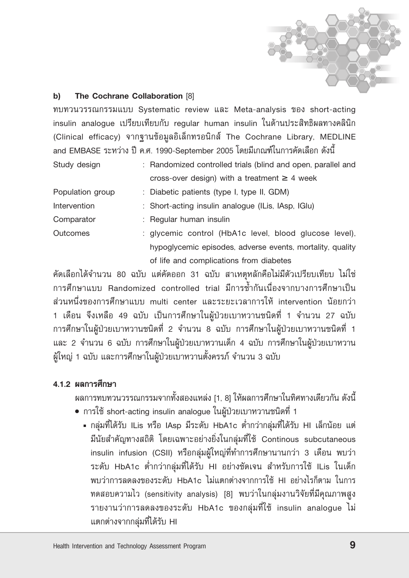

#### b) The Cochrane Collaboration [8]

ทบทวนวรรณกรรมแบบ Systematic review และ Meta-analysis ของ short-acting insulin analogue เปรียบเทียบกับ regular human insulin ในด้านประสิทธิผลทางคลินิก (Clinical efficacy) จากฐานข้อมูลอิเล็กทรอนิกส์ The Cochrane Library, MEDLINE and EMBASE ระหว่าง ปี ค.ศ. 1990-September 2005 โดยมีเกณฑ์ในการคัดเลือก ดังนี้

| Study design     | : Randomized controlled trials (blind and open, parallel and |
|------------------|--------------------------------------------------------------|
|                  | cross-over design) with a treatment $\geq 4$ week            |
| Population group | : Diabetic patients (type I, type II, GDM)                   |
| Intervention     | : Short-acting insulin analogue (ILis, IAsp. IGIu)           |
| Comparator       | : Regular human insulin                                      |
| <b>Outcomes</b>  | : glycemic control (HbA1c level, blood glucose level),       |
|                  | hypoglycemic episodes, adverse events, mortality, quality    |
|                  | of life and complications from diabetes                      |

คัดเลือกได้จำนวน 80 ฉบับ แต่คัดออก 31 ฉบับ สาเหตุหลักคือไม่มีตัวเปรียบเทียบ ไม่ใช่ ิการศึกษาแบบ Randomized controlled trial มีการซ้ำกันเนื่องจากบางการศึกษาเป็น ส่วนหนึ่งของการศึกษาแบบ multi center และระยะเวลาการให้ intervention น้อยกว่า 1 เดือน จึงเหลือ 49 ฉบับ เป็นการศึกษาในผู้ป่วยเบาหวานชนิดที่ 1 จำนวน 27 ฉบับ การศึกษาในผู้ป่วยเบาหวานชนิดที่ 2 จำนวน 8 ฉบับ การศึกษาในผู้ป่วยเบาหวานชนิดที่ 1 และ 2 จำนวน 6 ฉบับ การศึกษาในผู้ป่วยเบาหวานเด็ก 4 ฉบับ การศึกษาในผู้ป่วยเบาหวาน ผู้ใหญ่ 1 ฉบับ และการศึกษาในผู้ป่วยเบาหวานตั้งครรภ์ จำนวน 3 ฉบับ

## 4.1.2 ผลการศึกษา

ผลการทบทวนวรรณกรรมจากทั้งสองแหล่ง [1, 8] ให้ผลการศึกษาในทิศทางเดียวกัน ดังนี้

- การใช้ short-acting insulin analogue ในผู้ป่วยเบาหวานชนิดที่ 1
	- กลุ่มที่ได้รับ ILis หรือ IAsp มีระดับ HbA1c ต่ำกว่ากลุ่มที่ได้รับ HI เล็กน้อย แต่ มีนัยสำคัญทางสถิติ โดยเฉพาะอย่างยิ่งในกลุ่มที่ใช้ Continous subcutaneous insulin infusion (CSII) หรือกลุ่มผู้ใหญ่ที่ทำการศึกษานานกว่า 3 เดือน พบว่า ระดับ HbA1c ต่ำกว่ากลุ่มที่ได้รับ HI อย่างชัดเจน สำหรับการใช้ ILis ในเด็ก ่ พบว่าการลดลงของระดับ HbA1c ไม่แตกต่างจากการใช้ HI อย่างไรก็ตาม ในการ ทดสอบความไว (sensitivity analysis) [8] พบว่าในกลุ่มงานวิจัยที่มีคุณภาพสูง รายงานว่าการลดลงของระดับ HbA1c ของกลุ่มที่ใช้ insulin analogue ไม่ แตกต่างจากกลุ่มที่ได้รับ HI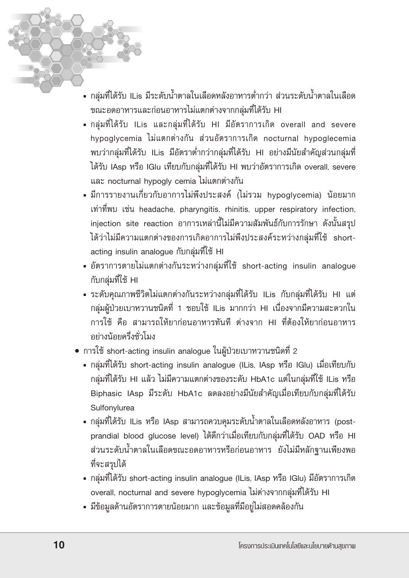- กลุ่มที่ได้รับ ILis มีระดับน้ำตาลในเลือดหลังอาหารต่ำกว่า ส่วนระดับน้ำตาลในเลือด ขณะอดอาหารและก่อนอาหารไม่แตกต่างจากกลุ่มที่ได้รับ HI
- กลุ่มที่ได้รับ ILis และกลุ่มที่ได้รับ HI มีอัตราการเกิด overall and severe hypoglycemia ไม่แตกต่างกัน ส่วนอัตราการเกิด nocturnal hypoglecemia พบว่ากลุ่มที่ได้รับ ILis มีอัตราต่ำกว่ากลุ่มที่ได้รับ HI อย่างมีนัยสำคัญส่วนกลุ่มที่ ได้รับ IAsp หรือ IGlu เทียบกับกลุ่มที่ได้รับ HI พบว่าอัตราการเกิด overall, severe และ nocturnal hypogly cemia ไม่แตกต่างกัน
- มีการรายงานเกี่ยวกับอาการไม่พึงประสงค์ (ไม่รวม hypoglycemia) น้อยมาก เท่าที่พบ เช่น headache, pharyngitis, rhinitis, upper respiratory infection, injection site reaction อาการเหล่านี้ไม่มีความสัมพันธ์กับการรักษา ดังนั้นสรุป ได้ว่าไม่มีความแตกต่างของการเกิดอาการไม่พึงประสงค์ระหว่างกลุ่มที่ใช้ shortacting insulin analogue กับกลุ่มที่ใช้ HI
- อัตราการตายไม่แตกต่างกันระหว่างกลุ่มที่ใช้ short-acting insulin analogue กับกลุ่มที่ใช้ HI
- ระดับคุณภาพชีวิตไม่แตกต่างกันระหว่างกลุ่มที่ได้รับ ILis กับกลุ่มที่ได้รับ HI แต่ กลุ่มผู้ป่วยเบาหวานชนิดที่ 1 ชอบใช้ ILis มากกว่า HI เนื่องจากมีความสะดวกใน การใช้ คือ สามารถให้ยาก่อนอาหารทันที ต่างจาก HI ที่ต้องให้ยาก่อนอาหาร อย่างนักยครึ่งชั่วโมง
- การใช้ short-acting insulin analogue ในผู้ป่วยเบาหวานชนิดที่ 2
	- กลุ่มที่ได้รับ short-acting insulin analogue (ILis, IAsp หรือ IGlu) เมื่อเทียบกับ กลุ่มที่ได้รับ HI แล้ว ไม่มีความแตกต่างของระดับ HbA1c แต่ในกลุ่มที่ใช้ ILis หรือ Biphasic IAsp มีระดับ HbA1c ลดลงอย่างมีนัยสำคัญเมื่อเทียบกับกลุ่มที่ได้รับ Sulfonvlurea
	- กลุ่มที่ได้รับ ILis หรือ IAsp สามารถควบคุมระดับน้ำตาลในเลือดหลังอาหาร (postprandial blood glucose level) ได้ดีกว่าเมื่อเทียบกับกลุ่มที่ได้รับ OAD หรือ HI ส่วนระดับน้ำตาลในเลือดขณะอดอาหารหรือก่อนอาหาร ยังไม่มีหลักฐานเพียงพอ ที่จะสรุปได้
	- กลุ่มที่ได้รับ short-acting insulin analogue (ILis, IAsp หรือ IGlu) มีอัตราการเกิด overall, nocturnal and severe hypoglycemia ไม่ต่างจากกลุ่มที่ได้รับ HI
	- มีข้อมูลด้านอัตราการตายน้อยมาก และข้อมูลที่มีอยู่ไม่สอดคล้องกัน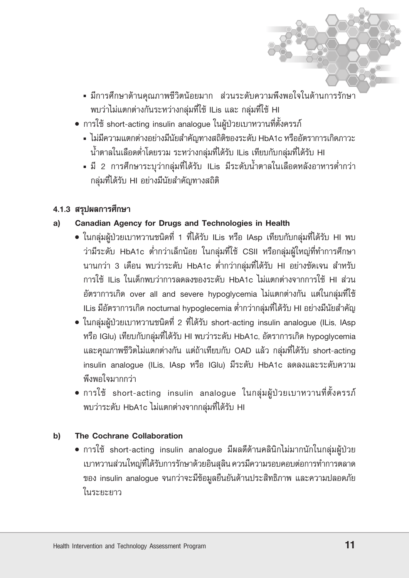- มีการศึกษาด้านคณภาพชีวิตน้อยมาก ส่วนระดับความพึงพอใจในด้านการรักษา พบว่าไม่แตกต่างกันระหว่างกลุ่มที่ใช้ ILis และ กลุ่มที่ใช้ HI
- การใช้ short-acting insulin analogue ในผู้ป่วยเบาหวานที่ตั้งครรภ์
	- ไม่มีความแตกต่างอย่างมีนัยสำคัญทางสถิติของระดับ HbA1c หรืออัตราการเกิดภาวะ น้ำตาลในเลือดต่ำโดยรวม ระหว่างกลุ่มที่ได้รับ ILis เทียบกับกลุ่มที่ได้รับ HI
	- มี 2 การศึกษาระบุว่ากลุ่มที่ได้รับ ILis มีระดับน้ำตาลในเลือดหลังอาหารต่ำกว่า กลุ่มที่ได้รับ HI อย่างมีนัยสำคัญทางสถิติ

# 4.1.3 สรุปผลการศึกษา

#### Canadian Agency for Drugs and Technologies in Health a)

- ในกลุ่มผู้ป่วยเบาหวานชนิดที่ 1 ที่ได้รับ ILis หรือ IAsp เทียบกับกลุ่มที่ได้รับ HI พบ ว่ามีระดับ HbA1c ต่ำกว่าเล็กน้อย ในกลุ่มที่ใช้ CSII หรือกลุ่มผู้ใหญ่ที่ทำการศึกษา นานกว่า 3 เดือน พบว่าระดับ HbA1c ต่ำกว่ากลุ่มที่ได้รับ HI อย่างชัดเจน สำหรับ การใช้ ILis ในเด็กพบว่าการลดลงของระดับ HbA1c ไม่แตกต่างจากการใช้ HI ส่วน อัตราการเกิด over all and severe hypoglycemia ไม่แตกต่างกัน แต่ในกลุ่มที่ใช้ ILis มีอัตราการเกิด nocturnal hypoglecemia ต่ำกว่ากลุ่มที่ได้รับ HI อย่างมีนัยสำคัญ
- ในกลุ่มผู้ป่วยเบาหวานชนิดที่ 2 ที่ได้รับ short-acting insulin analogue (ILis, IAsp หรือ IGlu) เทียบกับกลุ่มที่ได้รับ HI พบว่าระดับ HbA1c, อัตราการเกิด hypoglycemia และคุณภาพชีวิตไม่แตกต่างกัน แต่ถ้าเทียบกับ OAD แล้ว กลุ่มที่ได้รับ short-acting insulin analogue (ILis, IAsp หรือ IGlu) มีระดับ HbA1c ลดลงและระดับความ พึงพอใจมากกว่า
- การใช้ short-acting insulin analogue ในกลุ่มผู้ป่วยเบาหวานที่ตั้งครรภ์ พบว่าระดับ HbA1c ไม่แตกต่างจากกลุ่มที่ได้รับ HI

#### The Cochrane Collaboration b)

• การใช้ short-acting insulin analogue มีผลดีด้านคลินิกไม่มากนักในกลุ่มผู้ป่วย เบาหวานส่วนใหญ่ที่ได้รับการรักษาด้วยอินสุลิน ควรมีความรอบคอบต่อการทำการตลาด ของ insulin analogue จนกว่าจะมีข้อมูลยืนยันด้านประสิทธิภาพ และความปลอดภัย ในระยะยาว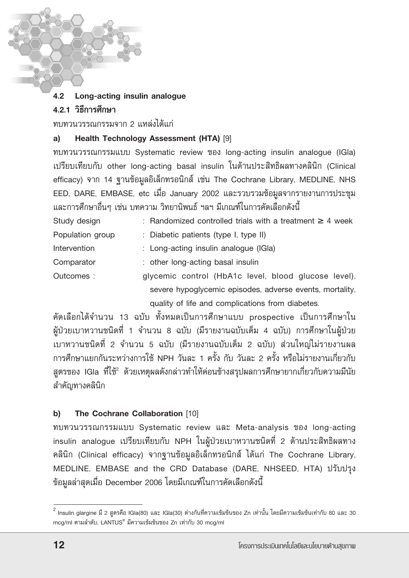#### 42 Long-acting insulin analoque

# 4 2 1 วิธีการศึกษา

ทบทวนวรรณกรรมจาก 2 แหล่งได้แก่

#### Health Technology Assessment (HTA) [9] a)

ทบทวนวรรณกรรมแบบ Systematic review ของ long-acting insulin analogue (IGla) เปรียบเทียบกับ other long-acting basal insulin ในด้านประสิทธิผลทางคลินิก (Clinical efficacy) จาก 14 ฐานข้อมูลอิเล็กทรอนิกส์ เช่น The Cochrane Library, MEDLINE, NHS EED, DARE, EMBASE, etc เมื่อ January 2002 และรวบรวมข้อมูลจากรายงานการประชุม และการศึกษาอื่นๆ เช่น บทความ วิทยานิพนธ์ ฯลฯ มีเกณฑ์ในการคัดเลือกดังนี้

| Study design     | : Randomized controlled trials with a treatment $\geq 4$ week |
|------------------|---------------------------------------------------------------|
| Population group | : Diabetic patients (type I, type II)                         |
| Intervention     | : Long-acting insulin analogue (IGIa)                         |
| Comparator       | : other long-acting basal insulin                             |
| Outcomes:        | glycemic control (HbA1c level, blood glucose level),          |
|                  | severe hypoglycemic episodes, adverse events, mortality,      |
|                  | quality of life and complications from diabetes.              |

คัดเลือกได้จำนวน 13 ฉบับ ทั้งหมดเป็นการศึกษาแบบ prospective เป็นการศึกษาใน ผู้ป่วยเบาหวานชนิดที่ 1 จำนวน 8 ฉบับ (มีรายงานฉบับเต็ม 4 ฉบับ) การศึกษาในผู้ป่วย เบาหวานชนิดที่ 2 จำนวน 5 ฉบับ (มีรายงานฉบับเต็ม 2 ฉบับ) ส่วนใหญ่ไม่รายงานผล การศึกษาแยกกันระหว่างการใช้ NPH วันละ 1 ครั้ง กับ วันละ 2 ครั้ง หรือไม่รายงานเกี่ยวกับ สูตรของ IGIa ที่ใช้<sup>2</sup> ด้วยเหตุผลดังกล่าวทำให้ค่อนข้างสรุปผลการศึกษายากเกี่ยวกับความมีนัย สำคัญทางคลินิก

#### The Cochrane Collaboration [10] b)

ทบทวนวรรณกรรมแบบ Systematic review และ Meta-analysis ของ long-acting insulin analogue เปรียบเทียบกับ NPH ในผู้ป่วยเบาหวานชนิดที่ 2 ด้านประสิทธิผลทาง คลินิก (Clinical efficacy) จากฐานข้อมูลอิเล็กทรอนิกส์ ได้แก่ The Cochrane Library, MEDLINE, EMBASE and the CRD Database (DARE, NHSEED, HTA) ปรับปรุง ข้อมูลล่าสุดเมื่อ December 2006 โดยมีเกณฑ์ในการคัดเลือกดังนี้

 $^2$  Insulin glargine มี 2 สูตรคือ IGla(80) และ IGla(30) ต่างกันที่ความเข้มข้นของ Zn เท่านั้น โดยมีความเข้มข้นเท่ากับ 80 และ 30 mcg/ml ตามลำดับ, LANTUS® มีความเข้มข้นของ Zn เท่ากับ 30 mcg/ml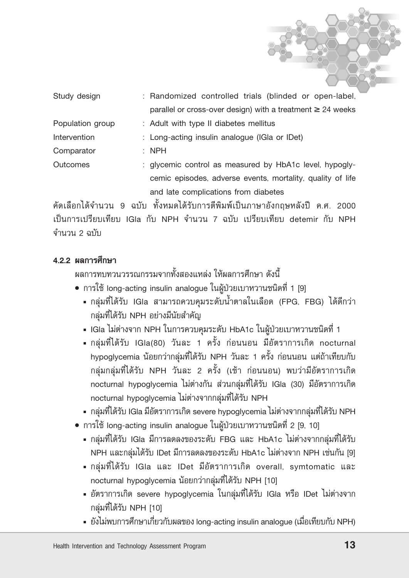| Study design     | : Randomized controlled trials (blinded or open-label,          |
|------------------|-----------------------------------------------------------------|
|                  | parallel or cross-over design) with a treatment $\geq$ 24 weeks |
| Population group | : Adult with type II diabetes mellitus                          |
| Intervention     | : Long-acting insulin analogue (IGIa or IDet)                   |
| Comparator       | $:$ NPH                                                         |
| <b>Outcomes</b>  | : glycemic control as measured by HbA1c level, hypogly-         |
|                  | cemic episodes, adverse events, mortality, quality of life      |
|                  | and late complications from diabetes                            |

คัดเลือกได้จำนวน 9 ฉบับ ทั้งหมดได้รับการตีพิมพ์เป็นภาษาอังกฤษหลังปี ค.ศ. 2000 เป็นการเปรียบเทียบ IGla กับ NPH จำนวน 7 ฉบับ เปรียบเทียบ detemir กับ NPH จำนวน 2 ฉบับ

### 4.2.2 ผลการศึกษา

้ผลการทบทวนวรรณกรรมจากทั้งสองแหล่ง ให้ผลการศึกษา ดังนี้

- การใช้ long-acting insulin analogue ในผู้ป่วยเบาหวานชนิดที่ 1 [9]
	- กลุ่มที่ได้รับ IGla สามารถควบคุมระดับน้ำตาลในเลือด (FPG, FBG) ได้ดีกว่า กลุ่มที่ได้รับ NPH อย่างมีนัยสำคัญ
	- IGIa ไม่ต่างจาก NPH ในการควบคุมระดับ HbA1c ในผู้ป่วยเบาหวานชนิดที่ 1
	- กลุ่มที่ได้รับ IGla(80) วันละ 1 ครั้ง ก่อนนอน มีอัตราการเกิด nocturnal hypoglycemia น้อยกว่ากลุ่มที่ได้รับ NPH วันละ 1 ครั้ง ก่อนนอน แต่ถ้าเทียบกับ ึกลุ่มกลุ่มที่ได้รับ NPH วันละ 2 ครั้ง (เช้า ก่อนนอน) พบว่ามีอัตราการเกิด nocturnal hypoglycemia ไม่ต่างกัน ส่วนกลุ่มที่ได้รับ IGla (30) มีอัตราการเกิด nocturnal hypoglycemia ไม่ต่างจากกลุ่มที่ได้รับ NPH
	- nลุ่มที่ได้รับ IGla มีอัตราการเกิด severe hypoglycemia ไม่ต่างจากกลุ่มที่ได้รับ NPH
- การใช้ long-acting insulin analogue ในผู้ป่วยเบาหวานชนิดที่ 2 [9, 10]
	- กลุ่มที่ได้รับ IGla มีการลดลงของระดับ FBG และ HbA1c ไม่ต่างจากกลุ่มที่ได้รับ NPH และกลุ่มได้รับ IDet มีการลดลงของระดับ HbA1c ไม่ต่างจาก NPH เช่นกัน [9]
	- กลุ่มที่ได้รับ IGla และ IDet มีอัตราการเกิด overall, symtomatic และ nocturnal hypoglycemia น้อยกว่ากลุ่มที่ได้รับ NPH [10]
	- อัตราการเกิด severe hypoglycemia ในกลุ่มที่ได้รับ IGla หรือ IDet ไม่ต่างจาก กลุ่มที่ได้รับ NPH [10]
	- ยังไม่พบการศึกษาเกี่ยวกับผลของ long-acting insulin analogue (เมื่อเทียบกับ NPH)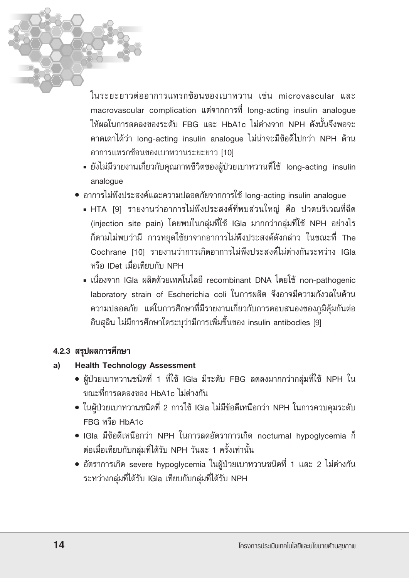ในระยะยาวต่ออาการแทรกซ้อนของเบาหวาน เช่น microvascular และ macrovascular complication แต่จากการที่ long-acting insulin analogue ให้ผลในการลดลงของระดับ FBG และ HbA1c ไม่ต่างจาก NPH ดังนั้นจึงพอจะ คาดเดาได้ว่า Iong-acting insulin analogue ไม่น่าจะมีข้อดีไปกว่า NPH ด้าน อาการแทรกซ้อนของเบาหวานระยะยาว [10]

- ยังไม่มีรายงานเกี่ยวกับคุณภาพชีวิตของผู้ป่วยเบาหวานที่ใช้ long-acting insulin analogue
- อาการไม่พึงประสงค์และความปลอดภัยจากการใช้ long-acting insulin analogue
	- HTA [9] รายงานว่าอาการไม่พึงประสงค์ที่พบส่วนใหญ่ คือ ปวดบริเวณที่ฉีด (injection site pain) โดยพบในกลุ่มที่ใช้ IGla มากกว่ากลุ่มที่ใช้ NPH อย่างไร ก็ตามไม่พบว่ามี การหยุดใช้ยาจากอาการไม่พึงประสงค์ดังกล่าว ในขณะที่ The Cochrane [10] รายงานว่าการเกิดอาการไม่พึงประสงค์ไม่ต่างกันระหว่าง IGla หรือ IDet เมื่อเทียบกับ NPH
	- เนื่องจาก IGIa ผลิตด้วยเทคโนโลยี recombinant DNA โดยใช้ non-pathogenic laboratory strain of Escherichia coli ในการผลิต จึงอาจมีความกังวลในด้าน ความปลอดภัย แต่ในการศึกษาที่มีรายงานเกี่ยวกับการตอบสนองของภูมิคุ้มกันต่อ อินสุลิน ไม่มีการศึกษาใดระบุว่ามีการเพิ่มขึ้นของ insulin antibodies [9]

# 4.2.3 สรุปผลการศึกษา

#### **Health Technology Assessment** a)

- ผู้ป่วยเบาหวานชนิดที่ 1 ที่ใช้ IGla มีระดับ FBG ลดลงมากกว่ากลุ่มที่ใช้ NPH ใน ขณะที่การลดลงของ HbA1c ไม่ต่างกัน
- ในผู้ป่วยเบาหวานชนิดที่ 2 การใช้ IGIa ไม่มีข้อดีเหนือกว่า NPH ในการควบคุมระดับ  $FRG$  หรือ  $HbA1c$
- IGIa มีข้อดีเหนือกว่า NPH ในการลดอัตราการเกิด nocturnal hypoglycemia ก็ ี่ ต่อเมื่อเทียบกับกลุ่มที่ได้รับ NPH วันละ 1 ครั้งเท่านั้น
- อัตราการเกิด severe hypoglycemia ในผู้ป่วยเบาหวานชนิดที่ 1 และ 2 ไม่ต่างกัน ระหว่างกลุ่มที่ได้รับ IGla เทียบกับกลุ่มที่ได้รับ NPH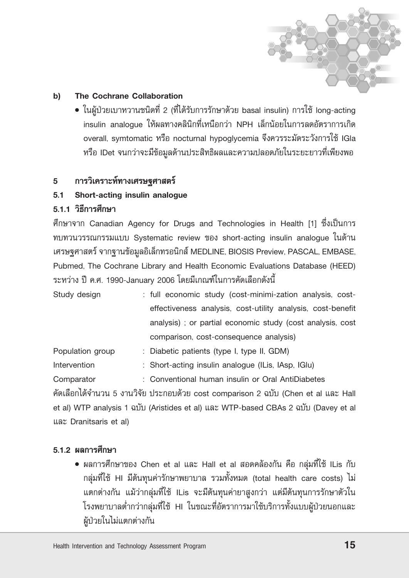

#### The Cochrane Collaboration b)

• ในผู้ป่วยเบาหวานชนิดที่ 2 (ที่ได้รับการรักษาด้วย basal insulin) การใช้ long-acting insulin analoque ให้ผลทางคลินิกที่เหนือกว่า NPH เล็กน้อยในการลดอัตราการเกิด overall, symtomatic หรือ nocturnal hypoglycemia จึงควรระมัดระวังการใช้ IGla หรือ IDet จนกว่าจะมีข้อมูลด้านประสิทธิผลและความปลอดภัยในระยะยาวที่เพียงพอ

#### การวิเคราะห์ทางเศรษฐศาสตร์ 5

#### $5.1$ Short-acting insulin analogue

# 5.1.1 วิธีการศึกษา

ศึกษาจาก Canadian Agency for Drugs and Technologies in Health [1] ซึ่งเป็นการ ทบทวนวรรณกรรมแบบ Systematic review ของ short-acting insulin analogue ในด้าน เศรษฐศาสตร์ จากฐานข้อมูลอิเล็กทรอนิกส์ MEDLINE, BIOSIS Preview, PASCAL, EMBASE, Pubmed, The Cochrane Library and Health Economic Evaluations Database (HEED) ระหว่าง ปี ค.ศ. 1990-Januarv 2006 โดยมีเกณฑ์ในการคัดเลือกดังนี้

| Study design | : full economic study (cost-minimi-zation analysis, cost-   |
|--------------|-------------------------------------------------------------|
|              | effectiveness analysis, cost-utility analysis, cost-benefit |
|              | analysis); or partial economic study (cost analysis, cost   |
|              | comparison, cost-consequence analysis)                      |

- Population group : Diabetic patients (type I, type II, GDM)
- Intervention : Short-acting insulin analogue (ILis, IAsp, IGlu)
- : Conventional human insulin or Oral AntiDiabetes Comparator

คัดเลือกได้จำนวน 5 งานวิจัย ประกอบด้วย cost comparison 2 ฉบับ (Chen et al และ Hall et al) WTP analysis 1 ฉบับ (Aristides et al) และ WTP-based CBAs 2 ฉบับ (Davey et al และ Dranitsaris et al)

# 5.1.2 ผลการศึกษา

• ผลการศึกษาของ Chen et al และ Hall et al สอดคล้องกัน คือ กลุ่มที่ใช้ ILis กับ ึกลุ่มที่ใช้ HI มีต้นทุนค่ารักษาพยาบาล รวมทั้งหมด (total health care costs) ไม่ แตกต่างกัน แม้ว่ากลุ่มที่ใช้ ILis จะมีต้นทุนค่ายาสูงกว่า แต่มีต้นทุนการรักษาตัวใน โรงพยาบาลต่ำกว่ากลุ่มที่ใช้ HI ในขณะที่อัตราการมาใช้บริการทั้งแบบผู้ป่วยนอกและ ผู้ป่วยในไม่แตกต่างกัน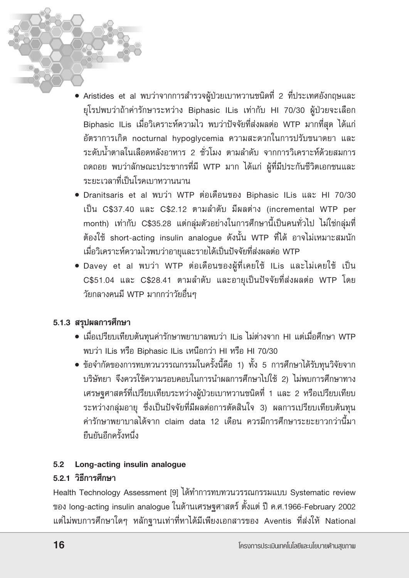- Aristides et al พบว่าจากการสำรวจผู้ป่วยเบาหวานชนิดที่ 2 ที่ประเทศอังกฤษและ ยุโรปพบว่าถ้าค่ารักษาระหว่าง Biphasic ILis เท่ากับ HI 70/30 ผู้ป่วยจะเลือก Biphasic ILis เมื่อวิเคราะห์ความไว พบว่าปัจจัยที่ส่งผลต่อ WTP มากที่สุด ได้แก่ อัตราการเกิด nocturnal hypoglycemia ความสะดวกในการปรับขนาดยา และ ้ระดับน้ำตาลในเลือดหลังอาหาร 2 ชั่วโมง ตามลำดับ จากการวิเคราะห์ด้วยสมการ ถดถอย พบว่าลักษณะประชากรที่มี WTP มาก ได้แก่ ผู้ที่มีประกันชีวิตเอกชนและ ระยะเวลาที่เป็นโรคเบาหวานนาน
- Dranitsaris et al พบว่า WTP ต่อเดือนของ Biphasic ILis และ HI 70/30 เป็น C\$37.40 และ C\$2.12 ตามลำดับ มีผลต่าง (incremental WTP per month) เท่ากับ C\$35.28 แต่กลุ่มตัวอย่างในการศึกษานี้เป็นคนทั่วไป ไม่ใช่กลุ่มที่ ต้องใช้ short-acting insulin analogue ดังนั้น WTP ที่ได้ อาจไม่เหมาะสมนัก เมื่อวิเคราะห์ความไวพบว่าอายุและรายได้เป็นปัจจัยที่ส่งผลต่อ WTP
- Davey et al พบว่า WTP ต่อเดือนของผู้ที่เคยใช้ ILis และไม่เคยใช้ เป็น C\$51.04 และ C\$28.41 ตามลำดับ และอายุเป็นปัจจัยที่ส่งผลต่อ WTP โดย วัยกลางคนมี WTP มากกว่าวัยอื่นๆ

# 5.1.3 สรุปผลการศึกษา

- เมื่อเปรียบเทียบต้นทุนค่ารักษาพยาบาลพบว่า ILis ไม่ต่างจาก HI แต่เมื่อศึกษา WTP พบว่า ILis หรือ Biphasic ILis เหนือกว่า HI หรือ HI 70/30
- ข้อจำกัดของการทบทวนวรรณกรรมในครั้งนี้คือ 1) ทั้ง 5 การศึกษาได้รับทุนวิจัยจาก บริษัทยา จึงควรใช้ความรอบคอบในการนำผลการศึกษาไปใช้ 2) ไม่พบการศึกษาทาง เศรษฐศาสตร์ที่เปรียบเทียบระหว่างผู้ป่วยเบาหวานชนิดที่ 1 และ 2 หรือเปรียบเทียบ ระหว่างกลุ่มอายุ ซึ่งเป็นปัจจัยที่มีผลต่อการตัดสินใจ 3) ผลการเปรียบเทียบต้นทุน ค่ารักษาพยาบาลได้จาก claim data 12 เดือน ควรมีการศึกษาระยะยาวกว่านี้มา ยืบยับอีกครั้งหนึ่ง

## 5.2 Long-acting insulin analogue

## 5.2.1 วิธีการศึกษา

Health Technology Assessment [9] ได้ทำการทบทวนวรรณกรรมแบบ Systematic review ของ long-acting insulin analogue ในด้านเศรษฐศาสตร์ ตั้งแต่ ปี ค.ศ.1966-February 2002 แต่ไม่พบการศึกษาใดๆ หลักฐานเท่าที่หาได้มีเพียงเอกสารของ Aventis ที่ส่งให้ National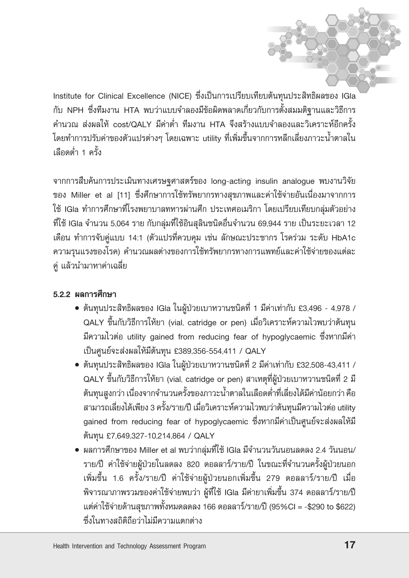Institute for Clinical Excellence (NICE) ซึ่งเป็นการเปรียบเทียบต้นทุนประสิทธิผลของ IGla กับ NPH ซึ่งทีมงาน HTA พบว่าแบบจำลองมีข้อผิดพลาดเกี่ยวกับการตั้งสมมติฐานและวิธีการ คำนวณ ส่งผลให้ cost/OAI Y มีค่าต่ำ ทีมงาน HTA จึงสร้างแบบจำลองและวิเคราะห์อีกครั้ง โดยทำการปรับค่าของตัวแปรต่างๆ โดยเฉพาะ utility ที่เพิ่มขึ้นจากการหลีกเลี่ยงภาวะน้ำตาลใน เลือดต่ำ 1 ครั้ง

จากการสืบค้นการประเมินทางเศรษฐศาสตร์ของ long-acting insulin analogue พบงานวิจัย ของ Miller et al [11] ซึ่งศึกษาการใช้ทรัพยากรทางสุขภาพและค่าใช้จ่ายอันเนื่องมาจากการ ใช้ IGIa ทำการศึกษาที่โรงพยาบาลทหารผ่านศึก ประเทศอเมริกา โดยเปรียบเทียบกลุ่มตัวอย่าง ที่ใช้ IGla จำนวน 5,064 ราย กับกลุ่มที่ใช้อินสุลินชนิดอื่นจำนวน 69,944 ราย เป็นระยะเวลา 12 เดือน ทำการจับคู่แบบ 14:1 (ตัวแปรที่ควบคุม เช่น ลักษณะประชากร โรคร่วม ระดับ HbA1c ความรุนแรงของโรค) คำนวณผลต่างของการใช้ทรัพยากรทางการแพทย์และค่าใช้จ่ายของแต่ละ คู่ แล้วนำมาหาค่าเฉลี่ย

# 5.2.2 ผลการศึกษา

- ต้นทุนประสิทธิผลของ IGla ในผู้ป่วยเบาหวานชนิดที่ 1 มีค่าเท่ากับ £3,496 4,978 / QALY ขึ้นกับวิธีการให้ยา (vial, catridge or pen) เมื่อวิเคราะห์ความไวพบว่าต้นทุน มีความไวต่อ utility gained from reducing fear of hypoglycaemic ซึ่งหากมีค่า เป็นศูนย์จะส่งผลให้มีต้นทุน £389,356-554,411 / QALY
- ต้นทุนประสิทธิผลของ IGIa ในผู้ป่วยเบาหวานชนิดที่ 2 มีค่าเท่ากับ £32,508-43,411 / QALY ขึ้นกับวิธีการให้ยา (vial, catridge or pen) สาเหตุที่ผู้ป่วยเบาหวานชนิดที่ 2 มี ้ต้นทุนสูงกว่า เนื่องจากจำนวนครั้งของภาวะน้ำตาลในเลือดต่ำที่เลี่ยงได้มีค่าน้อยกว่า คือ ี่สามารถเลี่ยงได้เพียง 3 ครั้ง/ราย/ปี เมื่อวิเคราะห์ความไวพบว่าต้นทุนมีความไวต่อ utility gained from reducing fear of hypoglycaemic ซึ่งหากมีค่าเป็นศูนย์จะส่งผลให้มี ต้นทุน £7,649,327-10,214,864 / QALY
- ผลการศึกษาของ Miller et al พบว่ากลุ่มที่ใช้ IGla มีจำนวนวันนอนลดลง 2.4 วันนอน/ ราย/ปี ค่าใช้จ่ายผู้ป่วยในลดลง 820 ดอลลาร์/ราย/ปี ในขณะที่จำนวนครั้งผู้ป่วยนอก เพิ่มขึ้น 1.6 ครั้ง/ราย/ปี ค่าใช้จ่ายผู้ป่วยนอกเพิ่มขึ้น 279 ดอลลาร์/ราย/ปี เมื่อ ้พิจารณาภาพรวมของค่าใช้จ่ายพบว่า ผู้ที่ใช้ IGla มีค่ายาเพิ่มขึ้น 374 ดอลลาร์/ราย/ปี แต่ค่าใช้จ่ายด้านสุขภาพทั้งหมดลดลง 166 ดอลลาร์/ราย/ปี (95%Cl = -\$290 to \$622) ซึ่งใบทางสถิติถือว่าไม่มีความแตกต่าง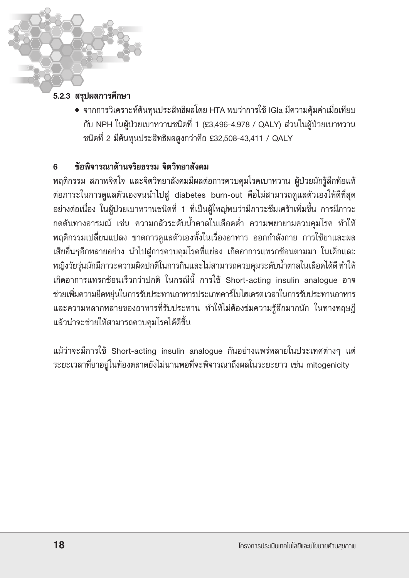# 5.2.3 สรุปผลการศึกษา

• จากการวิเคราะห์ต้นทุนประสิทธิผลโดย HTA พบว่าการใช้ IGIa มีความคุ้มค่าเมื่อเทียบ กับ NPH ในผู้ป่วยเบาหวานชนิดที่ 1 (£3,496-4,978 / QALY) ส่วนในผู้ป่วยเบาหวาน ชนิดที่ 2 มีต้นทุนประสิทธิผลสูงกว่าคือ £32,508-43,411 / QALY

#### ข้อพิจารณาด้านจริยธรรม จิตวิทยาสังคม 6

พฤติกรรม สภาพจิตใจ และจิตวิทยาสังคมมีผลต่อการควบคุมโรคเบาหวาน ผู้ป่วยมักรู้สึกท้อแท้ ต่อภาระในการดูแลตัวเองจนนำไปสู่ diabetes burn-out คือไม่สามารถดูแลตัวเองให้ดีที่สุด ้อย่างต่อเนื่อง ในผู้ป่วยเบาหวานชนิดที่ 1 ที่เป็นผู้ใหญ่พบว่ามีภาวะซึมเศร้าเพิ่มขึ้น การมีภาวะ ึกดดันทางอารมณ์ เช่น ความกลัวระดับน้ำตาลในเลือดต่ำ ความพยายามควบคุมโรค ทำให้ พฤติกรรมเปลี่ยนแปลง ขาดการดูแลตัวเองทั้งในเรื่องอาหาร ออกกำลังกาย การใช้ยาและผล เสียอื่นๆอีกหลายอย่าง นำไปสู่การควบคุมโรคที่แย่ลง เกิดอาการแทรกซ้อนตามมา ในเด็กและ หญิงวัยรุ่นมักมีภาวะความผิดปกติในการกินและไม่สามารถควบคุมระดับน้ำตาลในเลือดได้ดี ทำให้ เกิดอาการแทรกซ้อนเร็วกว่าปกติ ในกรณีนี้ การใช้ Short-acting insulin analogue อาจ ช่วยเพิ่มความยืดหยุ่นในการรับประทานอาหารประเภทคาร์โบไฮเดรตเวลาในการรับประทานอาหาร และความหลากหลายของอาหารที่รับประทาน ทำให้ไม่ต้องข่มความรู้สึกมากนัก ในทางทฤษฎี แล้วน่าจะช่วยให้สามารถควบคุมโรคได้ดีขึ้น

แม้ว่าจะมีการใช้ Short-acting insulin analogue กันอย่างแพร่หลายในประเทศต่างๆ แต่ ระยะเวลาที่ยาอยู่ในท้องตลาดยังไม่นานพอที่จะพิจารณาถึงผลในระยะยาว เช่น mitogenicity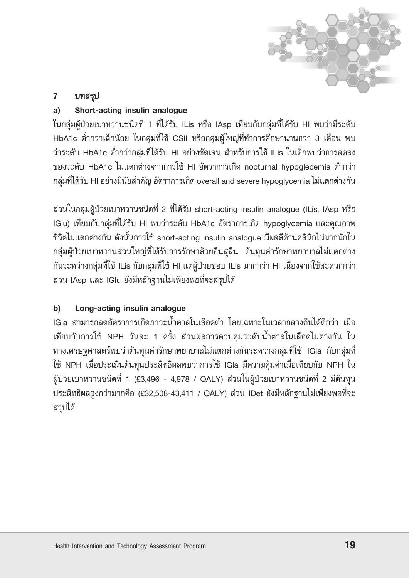

#### บทสรุป  $\overline{7}$

#### Short-acting insulin analogue a)

ในกลุ่มผู้ป่วยเบาหวานชนิดที่ 1 ที่ได้รับ ILis หรือ IAsp เทียบกับกลุ่มที่ได้รับ HI พบว่ามีระดับ HbA1c ต่ำกว่าเล็กน้อย ในกลุ่มที่ใช้ CSII หรือกลุ่มผู้ใหญ่ที่ทำการศึกษานานกว่า 3 เดือน พบ ว่าระดับ HbA1c ต่ำกว่ากลุ่มที่ได้รับ HI อย่างชัดเจน สำหรับการใช้ ILis ในเด็กพบว่าการลดลง ของระดับ HbA1c ไม่แตกต่างจากการใช้ HI อัตราการเกิด nocturnal hypoglecemia ต่ำกว่า กลุ่มที่ได้รับ HI อย่างมีนัยสำคัญ อัตราการเกิด overall and severe hypoglycemia ไม่แตกต่างกัน

ส่วนในกลุ่มผู้ป่วยเบาหวานชนิดที่ 2 ที่ได้รับ short-acting insulin analogue (ILis, IAsp หรือ IGlu) เทียบกับกลุ่มที่ได้รับ HI พบว่าระดับ HbA1c อัตราการเกิด hypoglycemia และคุณภาพ ชีวิตไม่แตกต่างกัน ดังนั้นการใช้ short-acting insulin analogue มีผลดีด้านคลินิกไม่มากนักใน กลุ่มผู้ป่วยเบาหวานส่วนใหญ่ที่ได้รับการรักษาด้วยอินสุลิน ต้นทุนค่ารักษาพยาบาลไม่แตกต่าง กันระหว่างกลุ่มที่ใช้ ILis กับกลุ่มที่ใช้ HI แต่ผู้ป่วยชอบ ILis มากกว่า HI เนื่องจากใช้สะดวกกว่า ส่วน IAsp และ IGlu ยังมีหลักฐานไม่เพียงพอที่จะสรุปได้

#### b) Long-acting insulin analogue

IGla สามารถลดอัตราการเกิดภาวะน้ำตาลในเลือดต่ำ โดยเฉพาะในเวลากลางคืนได้ดีกว่า เมื่อ เทียบกับการใช้ NPH วันละ 1 ครั้ง ส่วนผลการควบคุมระดับน้ำตาลในเลือดไม่ต่างกัน ใน ทางเศรษฐศาสตร์พบว่าต้นทุนค่ารักษาพยาบาลไม่แตกต่างกันระหว่างกลุ่มที่ใช้ IGla กับกลุ่มที่ ใช้ NPH เมื่อประเมินต้นทุนประสิทธิผลพบว่าการใช้ IGla มีความคุ้มค่าเมื่อเทียบกับ NPH ใน ผู้ป่วยเบาหวานชนิดที่ 1 (£3,496 - 4,978 / QALY) ส่วนในผู้ป่วยเบาหวานชนิดที่ 2 มีต้นทุน ประสิทธิผลสูงกว่ามากคือ (£32,508-43,411 / QALY) ส่วน IDet ยังมีหลักฐานไม่เพียงพอที่จะ สรุปได้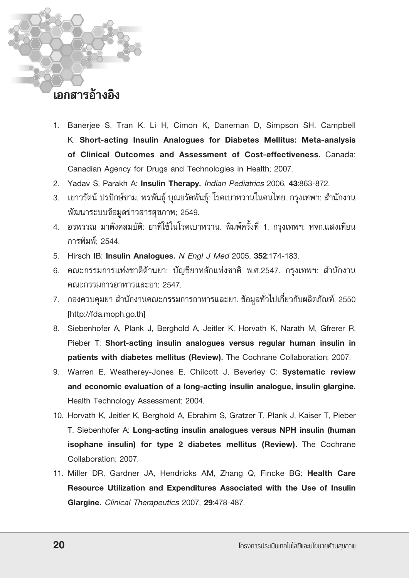# ้เอกสารค้างดิง

- 1. Banerjee S, Tran K, Li H, Cimon K, Daneman D, Simpson SH, Campbell K: Short-acting Insulin Analogues for Diabetes Mellitus: Meta-analysis of Clinical Outcomes and Assessment of Cost-effectiveness. Canada: Canadian Agency for Drugs and Technologies in Health; 2007.
- 2. Yadav S, Parakh A: Insulin Therapy. Indian Pediatrics 2006, 43:863-872.
- 3. เยาวรัตน์ ปรปักษ์ขาม, พรพันธุ์ บุณยรัตพันธุ์: โรคเบาหวานในคนไทย. กรุงเทพฯ: สำนักงาน พัฒนาระบบข้อมูลข่าวสารสุขภาพ; 2549.
- 4. อรพรรณ มาตังคสมบัติ: ยาที่ใช้ในโรคเบาหวาน. พิมพ์ครั้งที่ 1. กรุงเทพฯ: หจก.แสงเทียน การพิมพ์' 2544
- 5. Hirsch IB: Insulin Analogues. N Engl J Med 2005, 352:174-183.
- 6. คณะกรรมการแห่งชาติด้านยา: บัญชียาหลักแห่งชาติ พ.ศ.2547. กรุงเทพฯ: สำนักงาน คณะกรรมการอาหารและยา; 2547.
- 7. กองควบคุมยา สำนักงานคณะกรรมการอาหารและยา. ข้อมูลทั่วไปเกี่ยวกับผลิตภัณฑ์. 2550 [http://fda.moph.go.th]
- 8. Siebenhofer A, Plank J, Berghold A, Jeitler K, Horvath K, Narath M, Gfrerer R, Pieber T: Short-acting insulin analogues versus regular human insulin in patients with diabetes mellitus (Review). The Cochrane Collaboration; 2007.
- 9. Warren E, Weatherey-Jones E, Chilcott J, Beverley C: Systematic review and economic evaluation of a long-acting insulin analogue, insulin glargine. Health Technology Assessment; 2004.
- 10. Horvath K, Jeitler K, Berghold A, Ebrahim S, Gratzer T, Plank J, Kaiser T, Pieber T, Siebenhofer A: Long-acting insulin analogues versus NPH insulin (human isophane insulin) for type 2 diabetes mellitus (Review). The Cochrane Collaboration: 2007
- 11. Miller DR, Gardner JA, Hendricks AM, Zhang Q, Fincke BG: Health Care Resource Utilization and Expenditures Associated with the Use of Insulin Glargine. Clinical Therapeutics 2007, 29:478-487.